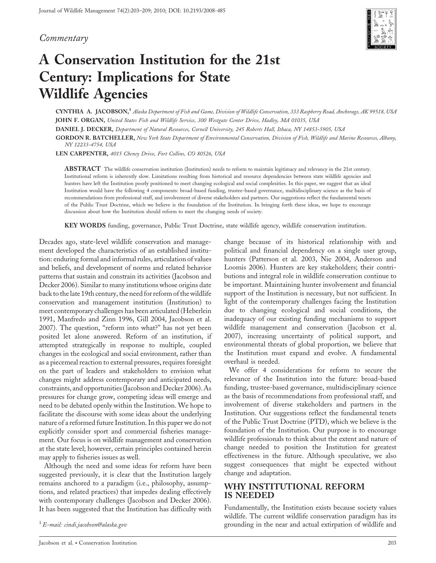#### **Commentary**



# A Conservation Institution for the 21st Century: Implications for State Wildlife Agencies

CYNTHIA A. JACOBSON,<sup>1</sup> Alaska Department of Fish and Game, Division of Wildlife Conservation, 333 Raspberry Road, Anchorage, AK 99518, USA JOHN F. ORGAN, United States Fish and Wildlife Service, 300 Westgate Center Drive, Hadley, MA 01035, USA

DANIEL J. DECKER, Department of Natural Resources, Cornell University, 245 Roberts Hall, Ithaca, NY 14853-5905, USA

GORDON R. BATCHELLER, New York State Department of Environmental Conservation, Division of Fish, Wildlife and Marine Resources, Albany, NY 12233-4754, USA

LEN CARPENTER, 4015 Cheney Drive, Fort Collins, CO 80526, USA

ABSTRACT The wildlife conservation institution (Institution) needs to reform to maintain legitimacy and relevancy in the 21st century. Institutional reform is inherently slow. Limitations resulting from historical and resource dependencies between state wildlife agencies and hunters have left the Institution poorly positioned to meet changing ecological and social complexities. In this paper, we suggest that an ideal Institution would have the following 4 components: broad-based funding, trustee-based governance, multidisciplinary science as the basis of recommendations from professional staff, and involvement of diverse stakeholders and partners. Our suggestions reflect the fundamental tenets of the Public Trust Doctrine, which we believe is the foundation of the Institution. In bringing forth these ideas, we hope to encourage discussion about how the Institution should reform to meet the changing needs of society.

KEY WORDS funding, governance, Public Trust Doctrine, state wildlife agency, wildlife conservation institution.

Decades ago, state-level wildlife conservation and management developed the characteristics of an established institution: enduring formal and informal rules, articulation of values and beliefs, and development of norms and related behavior patterns that sustain and constrain its activities (Jacobson and Decker 2006). Similar to many institutions whose origins date back to the late 19th century, the need for reform of the wildlife conservation and management institution (Institution) to meet contemporary challenges has been articulated (Heberlein 1991, Manfredo and Zinn 1996, Gill 2004, Jacobson et al. 2007). The question, "reform into what?" has not yet been posited let alone answered. Reform of an institution, if attempted strategically in response to multiple, coupled changes in the ecological and social environment, rather than as a piecemeal reaction to external pressures, requires foresight on the part of leaders and stakeholders to envision what changes might address contemporary and anticipated needs, constraints, and opportunities (Jacobson and Decker 2006). As pressures for change grow, competing ideas will emerge and need to be debated openly within the Institution. We hope to facilitate the discourse with some ideas about the underlying nature of a reformed future Institution. In this paper we do not explicitly consider sport and commercial fisheries management. Our focus is on wildlife management and conservation at the state level; however, certain principles contained herein may apply to fisheries issues as well.

Although the need and some ideas for reform have been suggested previously, it is clear that the Institution largely remains anchored to a paradigm (i.e., philosophy, assumptions, and related practices) that impedes dealing effectively with contemporary challenges (Jacobson and Decker 2006). It has been suggested that the Institution has difficulty with

change because of its historical relationship with and political and financial dependency on a single user group, hunters (Patterson et al. 2003, Nie 2004, Anderson and Loomis 2006). Hunters are key stakeholders; their contributions and integral role in wildlife conservation continue to be important. Maintaining hunter involvement and financial support of the Institution is necessary, but not sufficient. In light of the contemporary challenges facing the Institution due to changing ecological and social conditions, the inadequacy of our existing funding mechanisms to support wildlife management and conservation (Jacobson et al. 2007), increasing uncertainty of political support, and environmental threats of global proportion, we believe that the Institution must expand and evolve. A fundamental overhaul is needed.

We offer 4 considerations for reform to secure the relevance of the Institution into the future: broad-based funding, trustee-based governance, multidisciplinary science as the basis of recommendations from professional staff, and involvement of diverse stakeholders and partners in the Institution. Our suggestions reflect the fundamental tenets of the Public Trust Doctrine (PTD), which we believe is the foundation of the Institution. Our purpose is to encourage wildlife professionals to think about the extent and nature of change needed to position the Institution for greatest effectiveness in the future. Although speculative, we also suggest consequences that might be expected without change and adaptation.

#### WHY INSTITUTIONAL REFORM IS NEEDED

Fundamentally, the Institution exists because society values wildlife. The current wildlife conservation paradigm has its  ${}^{1}E$ -mail: cindi.jacobson@alaska.gov extirpation of wildlife and 1E-mail: cindi.jacobson@alaska.gov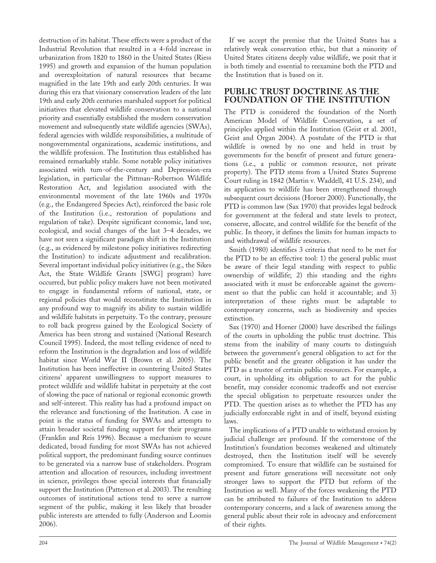destruction of its habitat. These effects were a product of the Industrial Revolution that resulted in a 4-fold increase in urbanization from 1820 to 1860 in the United States (Riess 1995) and growth and expansion of the human population and overexploitation of natural resources that became magnified in the late 19th and early 20th centuries. It was during this era that visionary conservation leaders of the late 19th and early 20th centuries marshaled support for political initiatives that elevated wildlife conservation to a national priority and essentially established the modern conservation movement and subsequently state wildlife agencies (SWAs), federal agencies with wildlife responsibilities, a multitude of nongovernmental organizations, academic institutions, and the wildlife profession. The Institution thus established has remained remarkably stable. Some notable policy initiatives associated with turn-of-the-century and Depression-era legislation, in particular the Pittman–Robertson Wildlife Restoration Act, and legislation associated with the environmental movement of the late 1960s and 1970s (e.g., the Endangered Species Act), reinforced the basic role of the Institution (i.e., restoration of populations and regulation of take). Despite significant economic, land use, ecological, and social changes of the last 3–4 decades, we have not seen a significant paradigm shift in the Institution (e.g., as evidenced by milestone policy initiatives redirecting the Institution) to indicate adjustment and recalibration. Several important individual policy initiatives (e.g., the Sikes Act, the State Wildlife Grants [SWG] program) have occurred, but public policy makers have not been motivated to engage in fundamental reform of national, state, or regional policies that would reconstitute the Institution in any profound way to magnify its ability to sustain wildlife and wildlife habitats in perpetuity. To the contrary, pressure to roll back progress gained by the Ecological Society of America has been strong and sustained (National Research Council 1995). Indeed, the most telling evidence of need to reform the Institution is the degradation and loss of wildlife habitat since World War II (Brown et al. 2005). The Institution has been ineffective in countering United States citizens' apparent unwillingness to support measures to protect wildlife and wildlife habitat in perpetuity at the cost of slowing the pace of national or regional economic growth and self-interest. This reality has had a profound impact on the relevance and functioning of the Institution. A case in point is the status of funding for SWAs and attempts to attain broader societal funding support for their programs (Franklin and Reis 1996). Because a mechanism to secure dedicated, broad funding for most SWAs has not achieved political support, the predominant funding source continues to be generated via a narrow base of stakeholders. Program attention and allocation of resources, including investment in science, privileges those special interests that financially support the Institution (Patterson et al. 2003). The resulting outcomes of institutional actions tend to serve a narrow segment of the public, making it less likely that broader public interests are attended to fully (Anderson and Loomis 2006).

If we accept the premise that the United States has a relatively weak conservation ethic, but that a minority of United States citizens deeply value wildlife, we posit that it is both timely and essential to reexamine both the PTD and the Institution that is based on it.

#### PUBLIC TRUST DOCTRINE AS THE FOUNDATION OF THE INSTITUTION

The PTD is considered the foundation of the North American Model of Wildlife Conservation, a set of principles applied within the Institution (Geist et al. 2001, Geist and Organ 2004). A postulate of the PTD is that wildlife is owned by no one and held in trust by governments for the benefit of present and future generations (i.e., a public or common resource, not private property). The PTD stems from a United States Supreme Court ruling in 1842 (Martin v. Waddell, 41 U.S. 234), and its application to wildlife has been strengthened through subsequent court decisions (Horner 2000). Functionally, the PTD is common law (Sax 1970) that provides legal bedrock for government at the federal and state levels to protect, conserve, allocate, and control wildlife for the benefit of the public. In theory, it defines the limits for human impacts to and withdrawal of wildlife resources.

Smith (1980) identifies 3 criteria that need to be met for the PTD to be an effective tool: 1) the general public must be aware of their legal standing with respect to public ownership of wildlife; 2) this standing and the rights associated with it must be enforceable against the government so that the public can hold it accountable; and 3) interpretation of these rights must be adaptable to contemporary concerns, such as biodiversity and species extinction.

Sax (1970) and Horner (2000) have described the failings of the courts in upholding the public trust doctrine. This stems from the inability of many courts to distinguish between the government's general obligation to act for the public benefit and the greater obligation it has under the PTD as a trustee of certain public resources. For example, a court, in upholding its obligation to act for the public benefit, may consider economic tradeoffs and not exercise the special obligation to perpetuate resources under the PTD. The question arises as to whether the PTD has any judicially enforceable right in and of itself, beyond existing laws.

The implications of a PTD unable to withstand erosion by judicial challenge are profound. If the cornerstone of the Institution's foundation becomes weakened and ultimately destroyed, then the Institution itself will be severely compromised. To ensure that wildlife can be sustained for present and future generations will necessitate not only stronger laws to support the PTD but reform of the Institution as well. Many of the forces weakening the PTD can be attributed to failures of the Institution to address contemporary concerns, and a lack of awareness among the general public about their role in advocacy and enforcement of their rights.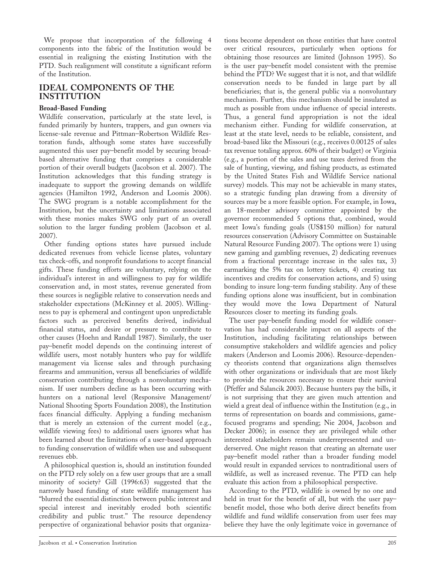We propose that incorporation of the following 4 components into the fabric of the Institution would be essential in realigning the existing Institution with the PTD. Such realignment will constitute a significant reform of the Institution.

### IDEAL COMPONENTS OF THE INSTITUTION

#### Broad-Based Funding

Wildlife conservation, particularly at the state level, is funded primarily by hunters, trappers, and gun owners via license-sale revenue and Pittman–Robertson Wildlife Restoration funds, although some states have successfully augmented this user pay–benefit model by securing broadbased alternative funding that comprises a considerable portion of their overall budgets (Jacobson et al. 2007). The Institution acknowledges that this funding strategy is inadequate to support the growing demands on wildlife agencies (Hamilton 1992, Anderson and Loomis 2006). The SWG program is a notable accomplishment for the Institution, but the uncertainty and limitations associated with these monies makes SWG only part of an overall solution to the larger funding problem (Jacobson et al. 2007).

Other funding options states have pursued include dedicated revenues from vehicle license plates, voluntary tax check-offs, and nonprofit foundations to accept financial gifts. These funding efforts are voluntary, relying on the individual's interest in and willingness to pay for wildlife conservation and, in most states, revenue generated from these sources is negligible relative to conservation needs and stakeholder expectations (McKinney et al. 2005). Willingness to pay is ephemeral and contingent upon unpredictable factors such as perceived benefits derived, individual financial status, and desire or pressure to contribute to other causes (Hoehn and Randall 1987). Similarly, the user pay–benefit model depends on the continuing interest of wildlife users, most notably hunters who pay for wildlife management via license sales and through purchasing firearms and ammunition, versus all beneficiaries of wildlife conservation contributing through a nonvoluntary mechanism. If user numbers decline as has been occurring with hunters on a national level (Responsive Management/ National Shooting Sports Foundation 2008), the Institution faces financial difficulty. Applying a funding mechanism that is merely an extension of the current model (e.g., wildlife viewing fees) to additional users ignores what has been learned about the limitations of a user-based approach to funding conservation of wildlife when use and subsequent revenues ebb.

A philosophical question is, should an institution founded on the PTD rely solely on a few user groups that are a small minority of society? Gill (1996:63) suggested that the narrowly based funding of state wildlife management has ''blurred the essential distinction between public interest and special interest and inevitably eroded both scientific credibility and public trust.'' The resource dependency perspective of organizational behavior posits that organizations become dependent on those entities that have control over critical resources, particularly when options for obtaining those resources are limited (Johnson 1995). So is the user pay–benefit model consistent with the premise behind the PTD? We suggest that it is not, and that wildlife conservation needs to be funded in large part by all beneficiaries; that is, the general public via a nonvoluntary mechanism. Further, this mechanism should be insulated as much as possible from undue influence of special interests. Thus, a general fund appropriation is not the ideal mechanism either. Funding for wildlife conservation, at least at the state level, needs to be reliable, consistent, and broad-based like the Missouri (e.g., receives 0.00125 of sales tax revenue totaling approx. 60% of their budget) or Virginia (e.g., a portion of the sales and use taxes derived from the sale of hunting, viewing, and fishing products, as estimated by the United States Fish and Wildlife Service national survey) models. This may not be achievable in many states, so a strategic funding plan drawing from a diversity of sources may be a more feasible option. For example, in Iowa, an 18-member advisory committee appointed by the governor recommended 5 options that, combined, would meet Iowa's funding goals (US\$150 million) for natural resources conservation (Advisory Committee on Sustainable Natural Resource Funding 2007). The options were 1) using new gaming and gambling revenues, 2) dedicating revenues from a fractional percentage increase in the sales tax, 3) earmarking the 5% tax on lottery tickets, 4) creating tax incentives and credits for conservation actions, and 5) using bonding to insure long-term funding stability. Any of these funding options alone was insufficient, but in combination they would move the Iowa Department of Natural Resources closer to meeting its funding goals.

The user pay–benefit funding model for wildlife conservation has had considerable impact on all aspects of the Institution, including facilitating relationships between consumptive stakeholders and wildlife agencies and policy makers (Anderson and Loomis 2006). Resource-dependency theorists contend that organizations align themselves with other organizations or individuals that are most likely to provide the resources necessary to ensure their survival (Pfeffer and Salancik 2003). Because hunters pay the bills, it is not surprising that they are given much attention and wield a great deal of influence within the Institution (e.g., in terms of representation on boards and commissions, gamefocused programs and spending; Nie 2004, Jacobson and Decker 2006); in essence they are privileged while other interested stakeholders remain underrepresented and underserved. One might reason that creating an alternate user pay–benefit model rather than a broader funding model would result in expanded services to nontraditional users of wildlife, as well as increased revenue. The PTD can help evaluate this action from a philosophical perspective.

According to the PTD, wildlife is owned by no one and held in trust for the benefit of all, but with the user paybenefit model, those who both derive direct benefits from wildlife and fund wildlife conservation from user fees may believe they have the only legitimate voice in governance of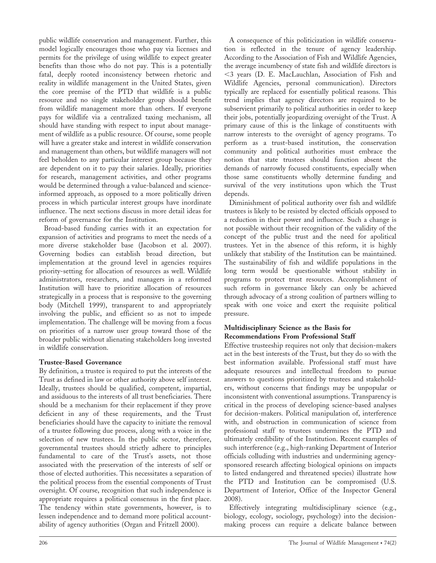public wildlife conservation and management. Further, this model logically encourages those who pay via licenses and permits for the privilege of using wildlife to expect greater benefits than those who do not pay. This is a potentially fatal, deeply rooted inconsistency between rhetoric and reality in wildlife management in the United States, given the core premise of the PTD that wildlife is a public resource and no single stakeholder group should benefit from wildlife management more than others. If everyone pays for wildlife via a centralized taxing mechanism, all should have standing with respect to input about management of wildlife as a public resource. Of course, some people will have a greater stake and interest in wildlife conservation and management than others, but wildlife managers will not feel beholden to any particular interest group because they are dependent on it to pay their salaries. Ideally, priorities for research, management activities, and other programs would be determined through a value-balanced and scienceinformed approach, as opposed to a more politically driven process in which particular interest groups have inordinate influence. The next sections discuss in more detail ideas for reform of governance for the Institution.

Broad-based funding carries with it an expectation for expansion of activities and programs to meet the needs of a more diverse stakeholder base (Jacobson et al. 2007). Governing bodies can establish broad direction, but implementation at the ground level in agencies requires priority-setting for allocation of resources as well. Wildlife administrators, researchers, and managers in a reformed Institution will have to prioritize allocation of resources strategically in a process that is responsive to the governing body (Mitchell 1999), transparent to and appropriately involving the public, and efficient so as not to impede implementation. The challenge will be moving from a focus on priorities of a narrow user group toward those of the broader public without alienating stakeholders long invested in wildlife conservation.

#### Trustee-Based Governance

By definition, a trustee is required to put the interests of the Trust as defined in law or other authority above self interest. Ideally, trustees should be qualified, competent, impartial, and assiduous to the interests of all trust beneficiaries. There should be a mechanism for their replacement if they prove deficient in any of these requirements, and the Trust beneficiaries should have the capacity to initiate the removal of a trustee following due process, along with a voice in the selection of new trustees. In the public sector, therefore, governmental trustees should strictly adhere to principles fundamental to care of the Trust's assets, not those associated with the preservation of the interests of self or those of elected authorities. This necessitates a separation of the political process from the essential components of Trust oversight. Of course, recognition that such independence is appropriate requires a political consensus in the first place. The tendency within state governments, however, is to lessen independence and to demand more political accountability of agency authorities (Organ and Fritzell 2000).

A consequence of this politicization in wildlife conservation is reflected in the tenure of agency leadership. According to the Association of Fish and Wildlife Agencies, the average incumbency of state fish and wildlife directors is ,3 years (D. E. MacLauchlan, Association of Fish and Wildlife Agencies, personal communication). Directors typically are replaced for essentially political reasons. This trend implies that agency directors are required to be subservient primarily to political authorities in order to keep their jobs, potentially jeopardizing oversight of the Trust. A primary cause of this is the linkage of constituents with narrow interests to the oversight of agency programs. To perform as a trust-based institution, the conservation community and political authorities must embrace the notion that state trustees should function absent the demands of narrowly focused constituents, especially when those same constituents wholly determine funding and survival of the very institutions upon which the Trust depends.

Diminishment of political authority over fish and wildlife trustees is likely to be resisted by elected officials opposed to a reduction in their power and influence. Such a change is not possible without their recognition of the validity of the concept of the public trust and the need for apolitical trustees. Yet in the absence of this reform, it is highly unlikely that stability of the Institution can be maintained. The sustainability of fish and wildlife populations in the long term would be questionable without stability in programs to protect trust resources. Accomplishment of such reform in governance likely can only be achieved through advocacy of a strong coalition of partners willing to speak with one voice and exert the requisite political pressure.

#### Multidisciplinary Science as the Basis for Recommendations From Professional Staff

Effective trusteeship requires not only that decision-makers act in the best interests of the Trust, but they do so with the best information available. Professional staff must have adequate resources and intellectual freedom to pursue answers to questions prioritized by trustees and stakeholders, without concerns that findings may be unpopular or inconsistent with conventional assumptions. Transparency is critical in the process of developing science-based analyses for decision-makers. Political manipulation of, interference with, and obstruction in communication of science from professional staff to trustees undermines the PTD and ultimately credibility of the Institution. Recent examples of such interference (e.g., high-ranking Department of Interior officials colluding with industries and undermining agencysponsored research affecting biological opinions on impacts to listed endangered and threatened species) illustrate how the PTD and Institution can be compromised (U.S. Department of Interior, Office of the Inspector General 2008).

Effectively integrating multidisciplinary science (e.g., biology, ecology, sociology, psychology) into the decisionmaking process can require a delicate balance between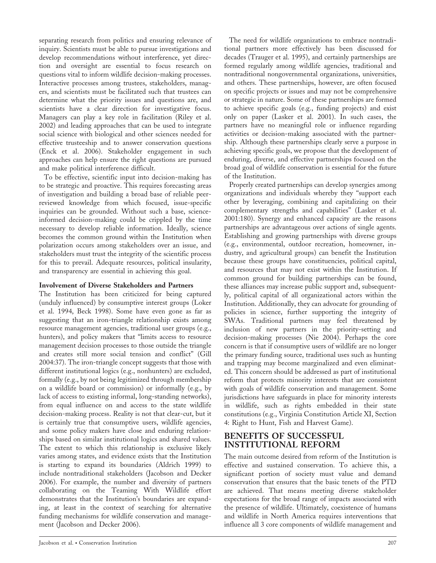separating research from politics and ensuring relevance of inquiry. Scientists must be able to pursue investigations and develop recommendations without interference, yet direction and oversight are essential to focus research on questions vital to inform wildlife decision-making processes. Interactive processes among trustees, stakeholders, managers, and scientists must be facilitated such that trustees can determine what the priority issues and questions are, and scientists have a clear direction for investigative focus. Managers can play a key role in facilitation (Riley et al. 2002) and leading approaches that can be used to integrate social science with biological and other sciences needed for effective trusteeship and to answer conservation questions (Enck et al. 2006). Stakeholder engagement in such approaches can help ensure the right questions are pursued and make political interference difficult.

To be effective, scientific input into decision-making has to be strategic and proactive. This requires forecasting areas of investigation and building a broad base of reliable peerreviewed knowledge from which focused, issue-specific inquiries can be grounded. Without such a base, scienceinformed decision-making could be crippled by the time necessary to develop reliable information. Ideally, science becomes the common ground within the Institution when polarization occurs among stakeholders over an issue, and stakeholders must trust the integrity of the scientific process for this to prevail. Adequate resources, political insularity, and transparency are essential in achieving this goal.

#### Involvement of Diverse Stakeholders and Partners

The Institution has been criticized for being captured (unduly influenced) by consumptive interest groups (Loker et al. 1994, Beck 1998). Some have even gone as far as suggesting that an iron-triangle relationship exists among resource management agencies, traditional user groups (e.g., hunters), and policy makers that ''limits access to resource management decision processes to those outside the triangle and creates still more social tension and conflict'' (Gill 2004:37). The iron-triangle concept suggests that those with different institutional logics (e.g., nonhunters) are excluded, formally (e.g., by not being legitimized through membership on a wildlife board or commission) or informally (e.g., by lack of access to existing informal, long-standing networks), from equal influence on and access to the state wildlife decision-making process. Reality is not that clear-cut, but it is certainly true that consumptive users, wildlife agencies, and some policy makers have close and enduring relationships based on similar institutional logics and shared values. The extent to which this relationship is exclusive likely varies among states, and evidence exists that the Institution is starting to expand its boundaries (Aldrich 1999) to include nontraditional stakeholders (Jacobson and Decker 2006). For example, the number and diversity of partners collaborating on the Teaming With Wildlife effort demonstrates that the Institution's boundaries are expanding, at least in the context of searching for alternative funding mechanisms for wildlife conservation and management (Jacobson and Decker 2006).

The need for wildlife organizations to embrace nontraditional partners more effectively has been discussed for decades (Trauger et al. 1995), and certainly partnerships are formed regularly among wildlife agencies, traditional and nontraditional nongovernmental organizations, universities, and others. These partnerships, however, are often focused on specific projects or issues and may not be comprehensive or strategic in nature. Some of these partnerships are formed to achieve specific goals (e.g., funding projects) and exist only on paper (Lasker et al. 2001). In such cases, the partners have no meaningful role or influence regarding activities or decision-making associated with the partnership. Although these partnerships clearly serve a purpose in achieving specific goals, we propose that the development of enduring, diverse, and effective partnerships focused on the broad goal of wildlife conservation is essential for the future of the Institution.

Properly created partnerships can develop synergies among organizations and individuals whereby they ''support each other by leveraging, combining and capitalizing on their complementary strengths and capabilities'' (Lasker et al. 2001:180). Synergy and enhanced capacity are the reasons partnerships are advantageous over actions of single agents. Establishing and growing partnerships with diverse groups (e.g., environmental, outdoor recreation, homeowner, industry, and agricultural groups) can benefit the Institution because these groups have constituencies, political capital, and resources that may not exist within the Institution. If common ground for building partnerships can be found, these alliances may increase public support and, subsequently, political capital of all organizational actors within the Institution. Additionally, they can advocate for grounding of policies in science, further supporting the integrity of SWAs. Traditional partners may feel threatened by inclusion of new partners in the priority-setting and decision-making processes (Nie 2004). Perhaps the core concern is that if consumptive users of wildlife are no longer the primary funding source, traditional uses such as hunting and trapping may become marginalized and even eliminated. This concern should be addressed as part of institutional reform that protects minority interests that are consistent with goals of wildlife conservation and management. Some jurisdictions have safeguards in place for minority interests in wildlife, such as rights embedded in their state constitutions (e.g., Virginia Constitution Article XI, Section 4: Right to Hunt, Fish and Harvest Game).

## BENEFITS OF SUCCESSFUL INSTITUTIONAL REFORM

The main outcome desired from reform of the Institution is effective and sustained conservation. To achieve this, a significant portion of society must value and demand conservation that ensures that the basic tenets of the PTD are achieved. That means meeting diverse stakeholder expectations for the broad range of impacts associated with the presence of wildlife. Ultimately, coexistence of humans and wildlife in North America requires interventions that influence all 3 core components of wildlife management and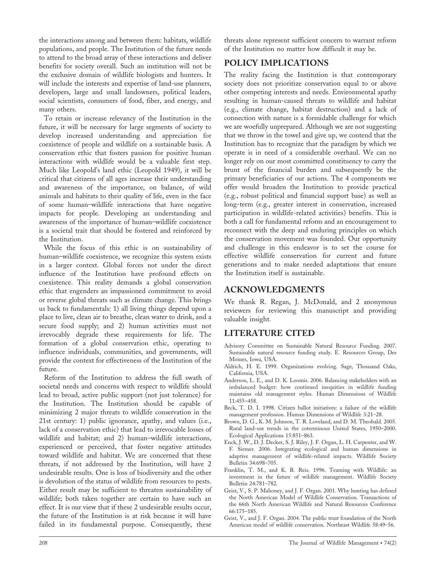the interactions among and between them: habitats, wildlife populations, and people. The Institution of the future needs to attend to the broad array of these interactions and deliver benefits for society overall. Such an institution will not be the exclusive domain of wildlife biologists and hunters. It will include the interests and expertise of land-use planners, developers, large and small landowners, political leaders, social scientists, consumers of food, fiber, and energy, and many others.

To retain or increase relevancy of the Institution in the future, it will be necessary for large segments of society to develop increased understanding and appreciation for coexistence of people and wildlife on a sustainable basis. A conservation ethic that fosters passion for positive human interactions with wildlife would be a valuable first step. Much like Leopold's land ethic (Leopold 1949), it will be critical that citizens of all ages increase their understanding and awareness of the importance, on balance, of wild animals and habitats to their quality of life, even in the face of some human–wildlife interactions that have negative impacts for people. Developing an understanding and awareness of the importance of human–wildlife coexistence is a societal trait that should be fostered and reinforced by the Institution.

While the focus of this ethic is on sustainability of human–wildlife coexistence, we recognize this system exists in a larger context. Global forces not under the direct influence of the Institution have profound effects on coexistence. This reality demands a global conservation ethic that engenders an impassioned commitment to avoid or reverse global threats such as climate change. This brings us back to fundamentals: 1) all living things depend upon a place to live, clean air to breathe, clean water to drink, and a secure food supply; and 2) human activities must not irrevocably degrade these requirements for life. The formation of a global conservation ethic, operating to influence individuals, communities, and governments, will provide the context for effectiveness of the Institution of the future.

Reform of the Institution to address the full swath of societal needs and concerns with respect to wildlife should lead to broad, active public support (not just tolerance) for the Institution. The Institution should be capable of minimizing 2 major threats to wildlife conservation in the 21st century: 1) public ignorance, apathy, and values (i.e., lack of a conservation ethic) that lead to irrevocable losses of wildlife and habitat; and 2) human–wildlife interactions, experienced or perceived, that foster negative attitudes toward wildlife and habitat. We are concerned that these threats, if not addressed by the Institution, will have 2 undesirable results. One is loss of biodiversity and the other is devolution of the status of wildlife from resources to pests. Either result may be sufficient to threaten sustainability of wildlife; both taken together are certain to have such an effect. It is our view that if these 2 undesirable results occur, the future of the Institution is at risk because it will have failed in its fundamental purpose. Consequently, these

threats alone represent sufficient concern to warrant reform of the Institution no matter how difficult it may be.

## POLICY IMPLICATIONS

The reality facing the Institution is that contemporary society does not prioritize conservation equal to or above other competing interests and needs. Environmental apathy resulting in human-caused threats to wildlife and habitat (e.g., climate change, habitat destruction) and a lack of connection with nature is a formidable challenge for which we are woefully unprepared. Although we are not suggesting that we throw in the towel and give up, we contend that the Institution has to recognize that the paradigm by which we operate is in need of a considerable overhaul. We can no longer rely on our most committed constituency to carry the brunt of the financial burden and subsequently be the primary beneficiaries of our actions. The 4 components we offer would broaden the Institution to provide practical (e.g., robust political and financial support base) as well as long-term (e.g., greater interest in conservation, increased participation in wildlife-related activities) benefits. This is both a call for fundamental reform and an encouragement to reconnect with the deep and enduring principles on which the conservation movement was founded. Our opportunity and challenge in this endeavor is to set the course for effective wildlife conservation for current and future generations and to make needed adaptations that ensure the Institution itself is sustainable.

## ACKNOWLEDGMENTS

We thank R. Regan, J. McDonald, and 2 anonymous reviewers for reviewing this manuscript and providing valuable insight.

## LITERATURE CITED

- Advisory Committee on Sustainable Natural Resource Funding. 2007. Sustainable natural resource funding study. E. Resources Group, Des Moines, Iowa, USA.
- Aldrich, H. E. 1999. Organizations evolving. Sage, Thousand Oaks, California, USA.
- Anderson, L. E., and D. K. Loomis. 2006. Balancing stakeholders with an imbalanced budget: how continued inequities in wildlife funding maintains old management styles. Human Dimensions of Wildlife 11:455–458.
- Beck, T. D. I. 1998. Citizen ballot initiatives: a failure of the wildlife management profession. Human Dimensions of Wildlife 3:21–28.
- Brown, D. G., K. M. Johnson, T. R. Loveland, and D. M. Theobald. 2005. Rural land-use trends in the coterminous United States, 1950–2000. Ecological Applications 15:851–863.
- Enck, J. W., D. J. Decker, S. J. Riley, J. F. Organ, L. H. Carpenter, and W. F. Siemer. 2006. Integrating ecological and human dimensions in adaptive management of wildlife-related impacts. Wildlife Society Bulletin 34:698–705.
- Franklin, T. M., and K. B. Reis. 1996. Teaming with Wildlife: an investment in the future of wildlife management. Wildlife Society Bulletin 24:781–782.
- Geist, V., S. P. Mahoney, and J. F. Organ. 2001. Why hunting has defined the North American Model of Wildlife Conservation. Transactions of the 66th North American Wildlife and Natural Resources Conference 66:175–185.
- Geist, V., and J. F. Organ. 2004. The public trust foundation of the North American model of wildlife conservation. Northeast Wildlife 58:49–56.